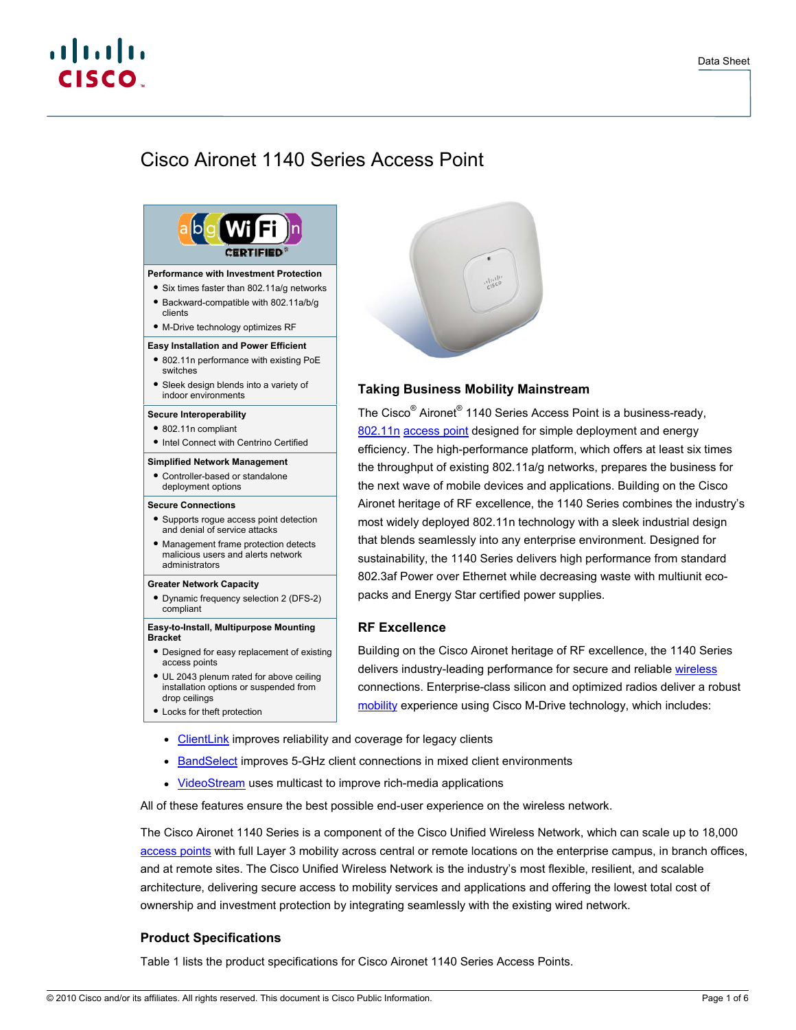# $\mathbf{d}$  and  $\mathbf{d}$ **CISCO**

# Cisco Aironet 1140 Series Access Point



- installation options or suspended from drop ceilings
- Ɣ Locks for theft protection



# **Taking Business Mobility Mainstream**

The Cisco<sup>®</sup> Aironet<sup>®</sup> 1140 Series Access Point is a business-ready, [802.11n](http://www.cisco.com/en/US/netsol/ns767/networking_solutions_package.html) [access point](http://www.cisco.com/en/US/products/ps5678/Products_Sub_Category_Home.html) designed for simple deployment and energy efficiency. The high-performance platform, which offers at least six times the throughput of existing 802.11a/g networks, prepares the business for the next wave of mobile devices and applications. Building on the Cisco Aironet heritage of RF excellence, the 1140 Series combines the industry's most widely deployed 802.11n technology with a sleek industrial design that blends seamlessly into any enterprise environment. Designed for sustainability, the 1140 Series delivers high performance from standard 802.3af Power over Ethernet while decreasing waste with multiunit ecopacks and Energy Star certified power supplies.

# **RF Excellence**

Building on the Cisco Aironet heritage of RF excellence, the 1140 Series delivers industry-leading performance for secure and reliable [wireless](http://www.cisco.com/en/US/products/hw/wireless/index.html) connections. Enterprise-class silicon and optimized radios deliver a robust [mobility](http://www.cisco.com/en/US/netsol/ns175/networking_solutions_solution_segment_home.html) experience using Cisco M-Drive technology, which includes:

- [ClientLink](http://www.cisco.com/en/US/prod/collateral/wireless/ps5678/ps10092/white_paper_c11-516389_ps6973_Products_White_Paper.html) improves reliability and coverage for legacy clients
- [BandSelect](http://tools.cisco.com/search/display?url=http%3A%2F%2Fwww.cisco.com%2Fen%2FUS%2Fsolutions%2Fcollateral%2Fns340%2Fns394%2Fns348%2Fns767%2Fratification_checklist_brochure_c11-557441.pdf&pos=3&strqueryid=&websessionid=5BOoKz2Ehg3v5ZxCTF_lc55) improves 5-GHz client connections in mixed client environments
- [VideoStream](http://www.cisco.com/en/US/prod/collateral/wireless/ps6302/ps8322/ps10315/ps10325/white_paper_c11-577721.html) uses multicast to improve rich-media applications

All of these features ensure the best possible end-user experience on the wireless network.

The Cisco Aironet 1140 Series is a component of the Cisco Unified Wireless Network, which can scale up to 18,000 [access points](http://www.cisco.com/en/US/products/ps5678/Products_Sub_Category_Home.html) with full Layer 3 mobility across central or remote locations on the enterprise campus, in branch offices, and at remote sites. The Cisco Unified Wireless Network is the industry's most flexible, resilient, and scalable architecture, delivering secure access to mobility services and applications and offering the lowest total cost of ownership and investment protection by integrating seamlessly with the existing wired network.

# **Product Specifications**

Table 1 lists the product specifications for Cisco Aironet 1140 Series Access Points.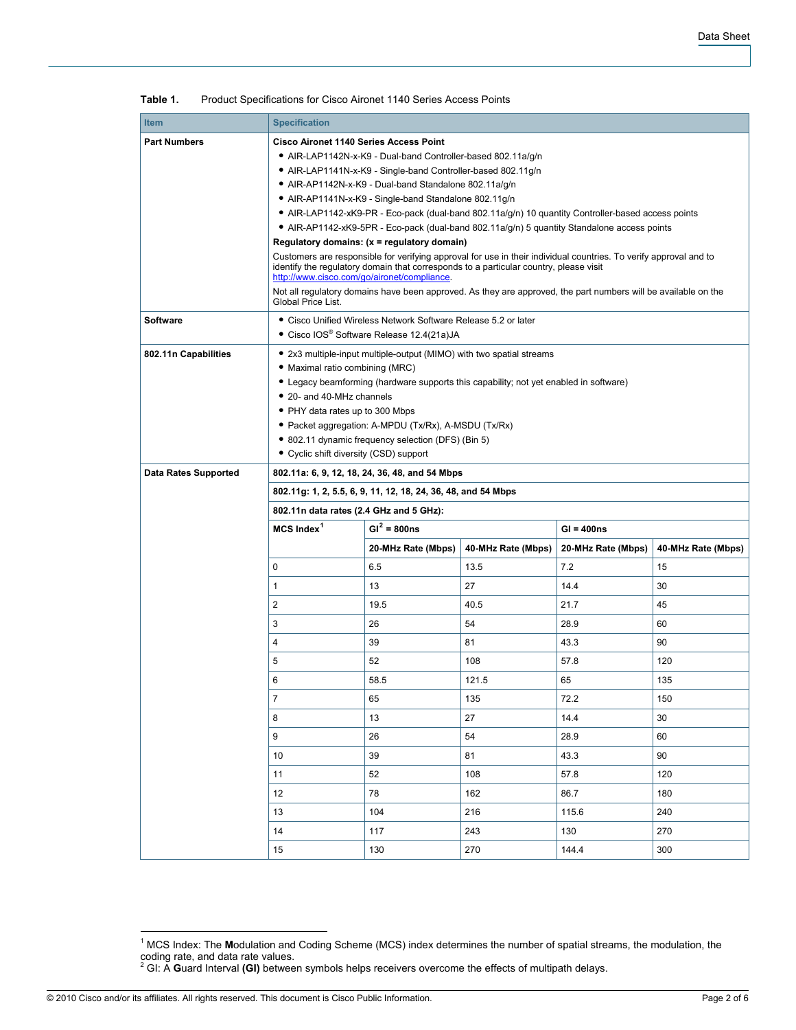| <b>Item</b>                 | <b>Specification</b>                                                                                                                                             |                                                                                                    |                    |                    |                    |  |  |  |  |
|-----------------------------|------------------------------------------------------------------------------------------------------------------------------------------------------------------|----------------------------------------------------------------------------------------------------|--------------------|--------------------|--------------------|--|--|--|--|
| <b>Part Numbers</b>         | <b>Cisco Aironet 1140 Series Access Point</b>                                                                                                                    |                                                                                                    |                    |                    |                    |  |  |  |  |
|                             | • AIR-LAP1142N-x-K9 - Dual-band Controller-based 802.11a/q/n                                                                                                     |                                                                                                    |                    |                    |                    |  |  |  |  |
|                             | • AIR-LAP1141N-x-K9 - Single-band Controller-based 802.11g/n                                                                                                     |                                                                                                    |                    |                    |                    |  |  |  |  |
|                             | • AIR-AP1142N-x-K9 - Dual-band Standalone 802.11a/q/n                                                                                                            |                                                                                                    |                    |                    |                    |  |  |  |  |
|                             |                                                                                                                                                                  | • AIR-AP1141N-x-K9 - Single-band Standalone 802.11g/n                                              |                    |                    |                    |  |  |  |  |
|                             |                                                                                                                                                                  | • AIR-LAP1142-xK9-PR - Eco-pack (dual-band 802.11a/g/n) 10 quantity Controller-based access points |                    |                    |                    |  |  |  |  |
|                             | • AIR-AP1142-xK9-5PR - Eco-pack (dual-band 802.11a/g/n) 5 quantity Standalone access points                                                                      |                                                                                                    |                    |                    |                    |  |  |  |  |
|                             | Regulatory domains: (x = regulatory domain)<br>Customers are responsible for verifying approval for use in their individual countries. To verify approval and to |                                                                                                    |                    |                    |                    |  |  |  |  |
|                             | identify the regulatory domain that corresponds to a particular country, please visit<br>http://www.cisco.com/go/aironet/compliance.                             |                                                                                                    |                    |                    |                    |  |  |  |  |
|                             | Not all regulatory domains have been approved. As they are approved, the part numbers will be available on the<br>Global Price List.                             |                                                                                                    |                    |                    |                    |  |  |  |  |
| <b>Software</b>             |                                                                                                                                                                  | • Cisco Unified Wireless Network Software Release 5.2 or later                                     |                    |                    |                    |  |  |  |  |
|                             | • Cisco IOS® Software Release 12.4(21a)JA                                                                                                                        |                                                                                                    |                    |                    |                    |  |  |  |  |
| 802.11n Capabilities        | • 2x3 multiple-input multiple-output (MIMO) with two spatial streams                                                                                             |                                                                                                    |                    |                    |                    |  |  |  |  |
|                             | · Maximal ratio combining (MRC)                                                                                                                                  |                                                                                                    |                    |                    |                    |  |  |  |  |
|                             | • Legacy beamforming (hardware supports this capability; not yet enabled in software)                                                                            |                                                                                                    |                    |                    |                    |  |  |  |  |
|                             | • 20- and 40-MHz channels                                                                                                                                        |                                                                                                    |                    |                    |                    |  |  |  |  |
|                             | • PHY data rates up to 300 Mbps                                                                                                                                  |                                                                                                    |                    |                    |                    |  |  |  |  |
|                             | • Packet aggregation: A-MPDU (Tx/Rx), A-MSDU (Tx/Rx)                                                                                                             |                                                                                                    |                    |                    |                    |  |  |  |  |
|                             | • 802.11 dynamic frequency selection (DFS) (Bin 5)                                                                                                               |                                                                                                    |                    |                    |                    |  |  |  |  |
|                             | • Cyclic shift diversity (CSD) support                                                                                                                           |                                                                                                    |                    |                    |                    |  |  |  |  |
| <b>Data Rates Supported</b> | 802.11a: 6, 9, 12, 18, 24, 36, 48, and 54 Mbps                                                                                                                   |                                                                                                    |                    |                    |                    |  |  |  |  |
|                             | 802.11g: 1, 2, 5.5, 6, 9, 11, 12, 18, 24, 36, 48, and 54 Mbps                                                                                                    |                                                                                                    |                    |                    |                    |  |  |  |  |
|                             |                                                                                                                                                                  | 802.11n data rates (2.4 GHz and 5 GHz):                                                            |                    |                    |                    |  |  |  |  |
|                             | $MCS$ Index <sup>1</sup>                                                                                                                                         | $GI^2 = 800ns$                                                                                     |                    |                    | $GI = 400ns$       |  |  |  |  |
|                             |                                                                                                                                                                  | 20-MHz Rate (Mbps)                                                                                 | 40-MHz Rate (Mbps) | 20-MHz Rate (Mbps) | 40-MHz Rate (Mbps) |  |  |  |  |
|                             | 0                                                                                                                                                                | 6.5                                                                                                | 13.5               | 7.2                | 15                 |  |  |  |  |
|                             | 1                                                                                                                                                                | 13                                                                                                 | 27                 | 14.4               | 30                 |  |  |  |  |
|                             | 2                                                                                                                                                                | 19.5                                                                                               | 40.5               | 21.7               | 45                 |  |  |  |  |
|                             | 3                                                                                                                                                                | 26                                                                                                 | 54                 | 28.9               | 60                 |  |  |  |  |
|                             | 4                                                                                                                                                                | 39                                                                                                 | 81                 | 43.3               | 90                 |  |  |  |  |
|                             | 5                                                                                                                                                                | 52                                                                                                 | 108                | 57.8               | 120                |  |  |  |  |
|                             | 6                                                                                                                                                                | 58.5                                                                                               | 121.5              | 65                 | 135                |  |  |  |  |
|                             | 7                                                                                                                                                                | 65                                                                                                 | 135                | 72.2               | 150                |  |  |  |  |
|                             | 8                                                                                                                                                                | 13                                                                                                 | 27                 | 14.4               | 30                 |  |  |  |  |
|                             | 9                                                                                                                                                                | 26                                                                                                 | 54                 | 28.9               | 60                 |  |  |  |  |
|                             | 10                                                                                                                                                               | 39                                                                                                 | 81                 | 43.3               | 90                 |  |  |  |  |
|                             | 11                                                                                                                                                               | 52                                                                                                 | 108                | 57.8               | 120                |  |  |  |  |
|                             | 12                                                                                                                                                               | 78                                                                                                 | 162                | 86.7               | 180                |  |  |  |  |
|                             | 13                                                                                                                                                               | 104                                                                                                | 216                | 115.6              | 240                |  |  |  |  |
|                             | 14                                                                                                                                                               | 117                                                                                                | 243                | 130                | 270                |  |  |  |  |
|                             | 15                                                                                                                                                               | 130                                                                                                | 270                | 144.4              | 300                |  |  |  |  |

**Table 1.** Product Specifications for Cisco Aironet 1140 Series Access Points

<span id="page-1-1"></span><span id="page-1-0"></span>© 2010 Cisco and/or its affiliates. All rights reserved. This document is Cisco Public Information. Page 2 of 6

 1 MCS Index: The **M**odulation and Coding Scheme (MCS) index determines the number of spatial streams, the modulation, the coding rate, and data rate values. 2 GI: A **G**uard Interval **(GI)** between symbols helps receivers overcome the effects of multipath delays.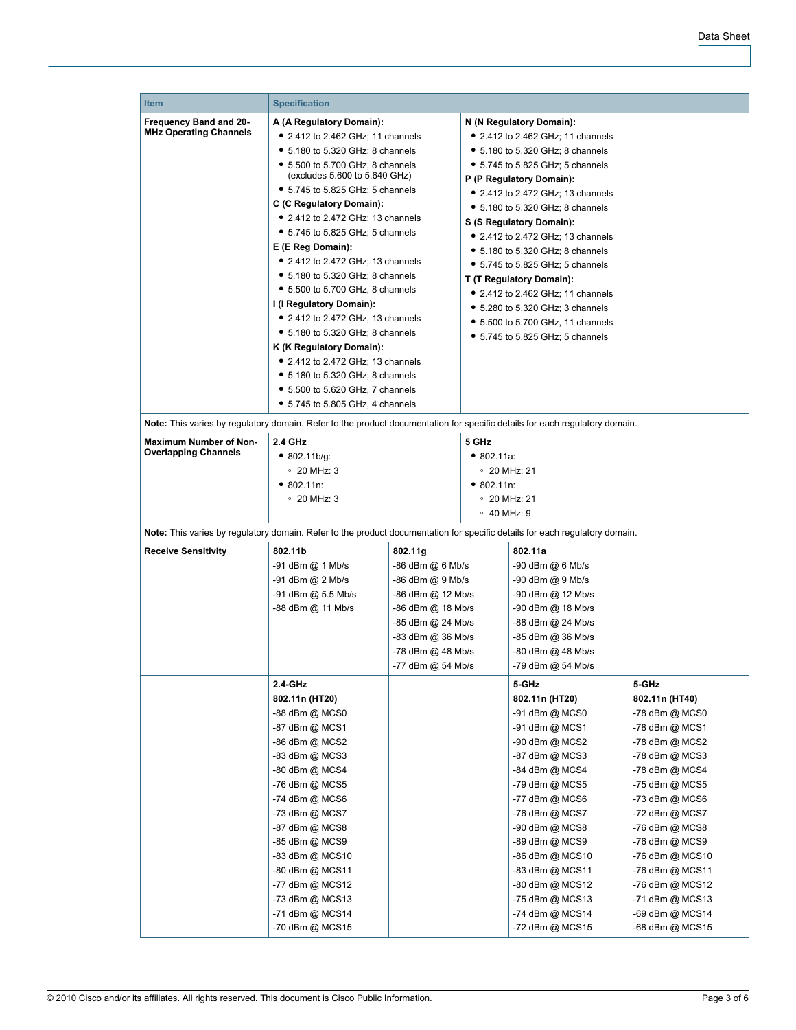| <b>Item</b>                                                                                                                 |                                                                                                                                        |                                                             |                                                                                                                                                                   |                   |                 |  |
|-----------------------------------------------------------------------------------------------------------------------------|----------------------------------------------------------------------------------------------------------------------------------------|-------------------------------------------------------------|-------------------------------------------------------------------------------------------------------------------------------------------------------------------|-------------------|-----------------|--|
|                                                                                                                             | <b>Specification</b>                                                                                                                   |                                                             |                                                                                                                                                                   |                   |                 |  |
| Frequency Band and 20-<br><b>MHz Operating Channels</b>                                                                     | A (A Regulatory Domain):                                                                                                               |                                                             | N (N Regulatory Domain):                                                                                                                                          |                   |                 |  |
|                                                                                                                             | • 2.412 to 2.462 GHz; 11 channels                                                                                                      |                                                             | • 2.412 to 2.462 GHz; 11 channels                                                                                                                                 |                   |                 |  |
|                                                                                                                             | • 5.180 to 5.320 GHz; 8 channels                                                                                                       |                                                             | • 5.180 to 5.320 GHz; 8 channels                                                                                                                                  |                   |                 |  |
|                                                                                                                             | • 5.500 to 5.700 GHz, 8 channels<br>(excludes 5.600 to 5.640 GHz)                                                                      |                                                             | • 5.745 to 5.825 GHz; 5 channels                                                                                                                                  |                   |                 |  |
|                                                                                                                             | • 5.745 to 5.825 GHz; 5 channels                                                                                                       |                                                             | P (P Regulatory Domain):                                                                                                                                          |                   |                 |  |
|                                                                                                                             | C (C Regulatory Domain):                                                                                                               |                                                             | • 2.412 to 2.472 GHz; 13 channels                                                                                                                                 |                   |                 |  |
|                                                                                                                             | • 2.412 to 2.472 GHz; 13 channels                                                                                                      |                                                             | • 5.180 to 5.320 GHz; 8 channels                                                                                                                                  |                   |                 |  |
|                                                                                                                             | • 5.745 to 5.825 GHz; 5 channels<br>E (E Reg Domain):<br>$\bullet$ 2.412 to 2.472 GHz; 13 channels<br>• 5.180 to 5.320 GHz; 8 channels |                                                             | S (S Regulatory Domain):<br>• 2.412 to 2.472 GHz; 13 channels<br>• 5.180 to 5.320 GHz; 8 channels<br>• 5.745 to 5.825 GHz; 5 channels<br>T (T Regulatory Domain): |                   |                 |  |
|                                                                                                                             |                                                                                                                                        |                                                             |                                                                                                                                                                   |                   |                 |  |
|                                                                                                                             |                                                                                                                                        |                                                             |                                                                                                                                                                   |                   |                 |  |
|                                                                                                                             |                                                                                                                                        |                                                             |                                                                                                                                                                   |                   |                 |  |
|                                                                                                                             | • 5.500 to 5.700 GHz, 8 channels                                                                                                       |                                                             | • 2.412 to 2.462 GHz; 11 channels                                                                                                                                 |                   |                 |  |
|                                                                                                                             | I (I Regulatory Domain):                                                                                                               |                                                             | • 5.280 to 5.320 GHz; 3 channels                                                                                                                                  |                   |                 |  |
|                                                                                                                             | • 2.412 to 2.472 GHz, 13 channels                                                                                                      |                                                             | • 5.500 to 5.700 GHz, 11 channels                                                                                                                                 |                   |                 |  |
|                                                                                                                             | • 5.180 to 5.320 GHz; 8 channels                                                                                                       |                                                             | • 5.745 to 5.825 GHz; 5 channels                                                                                                                                  |                   |                 |  |
|                                                                                                                             | K (K Regulatory Domain):                                                                                                               |                                                             |                                                                                                                                                                   |                   |                 |  |
|                                                                                                                             | • 2.412 to 2.472 GHz; 13 channels                                                                                                      |                                                             |                                                                                                                                                                   |                   |                 |  |
|                                                                                                                             | • 5.180 to 5.320 GHz; 8 channels                                                                                                       |                                                             |                                                                                                                                                                   |                   |                 |  |
|                                                                                                                             | • 5.500 to 5.620 GHz, 7 channels                                                                                                       |                                                             |                                                                                                                                                                   |                   |                 |  |
|                                                                                                                             | • 5.745 to 5.805 GHz, 4 channels                                                                                                       |                                                             |                                                                                                                                                                   |                   |                 |  |
| Note: This varies by regulatory domain. Refer to the product documentation for specific details for each regulatory domain. |                                                                                                                                        |                                                             |                                                                                                                                                                   |                   |                 |  |
| <b>Maximum Number of Non-</b>                                                                                               | 2.4 GHz                                                                                                                                |                                                             | 5 GHz                                                                                                                                                             |                   |                 |  |
| <b>Overlapping Channels</b>                                                                                                 | • 802.11b/g:                                                                                                                           |                                                             | • 802.11a.                                                                                                                                                        |                   |                 |  |
|                                                                                                                             | $\degree$ 20 MHz: 3                                                                                                                    |                                                             | $\degree$ 20 MHz: 21                                                                                                                                              |                   |                 |  |
|                                                                                                                             | • 802.11n:                                                                                                                             |                                                             | • 802.11n:                                                                                                                                                        |                   |                 |  |
|                                                                                                                             | $\degree$ 20 MHz: 3                                                                                                                    |                                                             | $\degree$ 20 MHz: 21                                                                                                                                              |                   |                 |  |
|                                                                                                                             |                                                                                                                                        |                                                             | $\circ$ 40 MHz: 9                                                                                                                                                 |                   |                 |  |
| Note: This varies by regulatory domain. Refer to the product documentation for specific details for each regulatory domain. |                                                                                                                                        |                                                             |                                                                                                                                                                   |                   |                 |  |
| <b>Receive Sensitivity</b>                                                                                                  | 802.11b                                                                                                                                | 802.11g                                                     | 802.11a                                                                                                                                                           |                   |                 |  |
|                                                                                                                             | -91 dBm @ 1 Mb/s<br>-86 dBm @ 6 Mb/s                                                                                                   |                                                             | -90 dBm @ 6 Mb/s                                                                                                                                                  |                   |                 |  |
|                                                                                                                             | -91 dBm @ 2 Mb/s<br>-86 dBm @ 9 Mb/s                                                                                                   |                                                             | -90 dBm @ 9 Mb/s                                                                                                                                                  |                   |                 |  |
|                                                                                                                             | -91 dBm @ 5.5 Mb/s                                                                                                                     | -86 dBm @ 12 Mb/s                                           |                                                                                                                                                                   | -90 dBm @ 12 Mb/s |                 |  |
|                                                                                                                             | -88 dBm @ 11 Mb/s                                                                                                                      | -86 dBm @ 18 Mb/s                                           |                                                                                                                                                                   | -90 dBm @ 18 Mb/s |                 |  |
|                                                                                                                             |                                                                                                                                        | -85 dBm @ 24 Mb/s<br>-83 dBm @ 36 Mb/s<br>-78 dBm @ 48 Mb/s |                                                                                                                                                                   | -88 dBm @ 24 Mb/s |                 |  |
|                                                                                                                             |                                                                                                                                        |                                                             |                                                                                                                                                                   | -85 dBm @ 36 Mb/s |                 |  |
|                                                                                                                             |                                                                                                                                        |                                                             |                                                                                                                                                                   | -80 dBm @ 48 Mb/s |                 |  |
|                                                                                                                             |                                                                                                                                        | -77 dBm @ 54 Mb/s                                           |                                                                                                                                                                   | -79 dBm @ 54 Mb/s |                 |  |
|                                                                                                                             | 2.4-GHz                                                                                                                                |                                                             |                                                                                                                                                                   | 5-GHz             | 5-GHz           |  |
|                                                                                                                             | 802.11n (HT20)                                                                                                                         |                                                             |                                                                                                                                                                   | 802.11n (HT20)    | 802.11n (HT40)  |  |
|                                                                                                                             | -88 dBm @ MCS0                                                                                                                         |                                                             |                                                                                                                                                                   | -91 dBm @ MCS0    | -78 dBm @ MCS0  |  |
|                                                                                                                             | -87 dBm @ MCS1                                                                                                                         |                                                             |                                                                                                                                                                   | -91 dBm @ MCS1    | -78 dBm @ MCS1  |  |
|                                                                                                                             | -86 dBm @ MCS2                                                                                                                         |                                                             |                                                                                                                                                                   | -90 dBm @ MCS2    | -78 dBm @ MCS2  |  |
|                                                                                                                             | -83 dBm @ MCS3                                                                                                                         |                                                             |                                                                                                                                                                   | -87 dBm @ MCS3    | -78 dBm @ MCS3  |  |
|                                                                                                                             | -80 dBm @ MCS4                                                                                                                         |                                                             |                                                                                                                                                                   | -84 dBm @ MCS4    | -78 dBm @ MCS4  |  |
|                                                                                                                             | -76 dBm @ MCS5                                                                                                                         |                                                             |                                                                                                                                                                   | -79 dBm @ MCS5    | -75 dBm @ MCS5  |  |
|                                                                                                                             | -74 dBm @ MCS6                                                                                                                         |                                                             |                                                                                                                                                                   | -77 dBm @ MCS6    | -73 dBm @ MCS6  |  |
|                                                                                                                             | -73 dBm @ MCS7                                                                                                                         |                                                             |                                                                                                                                                                   | -76 dBm @ MCS7    | -72 dBm @ MCS7  |  |
|                                                                                                                             | -87 dBm @ MCS8                                                                                                                         |                                                             |                                                                                                                                                                   | -90 dBm @ MCS8    | -76 dBm @ MCS8  |  |
|                                                                                                                             | -85 dBm @ MCS9                                                                                                                         |                                                             |                                                                                                                                                                   | -89 dBm @ MCS9    | -76 dBm @ MCS9  |  |
|                                                                                                                             | -83 dBm @ MCS10                                                                                                                        |                                                             |                                                                                                                                                                   | -86 dBm @ MCS10   | -76 dBm @ MCS10 |  |
|                                                                                                                             | -80 dBm @ MCS11                                                                                                                        |                                                             |                                                                                                                                                                   | -83 dBm @ MCS11   | -76 dBm @ MCS11 |  |
|                                                                                                                             | -77 dBm @ MCS12                                                                                                                        |                                                             |                                                                                                                                                                   | -80 dBm @ MCS12   | -76 dBm @ MCS12 |  |
|                                                                                                                             | -73 dBm @ MCS13                                                                                                                        |                                                             |                                                                                                                                                                   | -75 dBm @ MCS13   | -71 dBm @ MCS13 |  |
|                                                                                                                             | -71 dBm @ MCS14                                                                                                                        |                                                             |                                                                                                                                                                   | -74 dBm @ MCS14   | -69 dBm @ MCS14 |  |
|                                                                                                                             | -70 dBm @ MCS15                                                                                                                        |                                                             |                                                                                                                                                                   | -72 dBm @ MCS15   | -68 dBm @ MCS15 |  |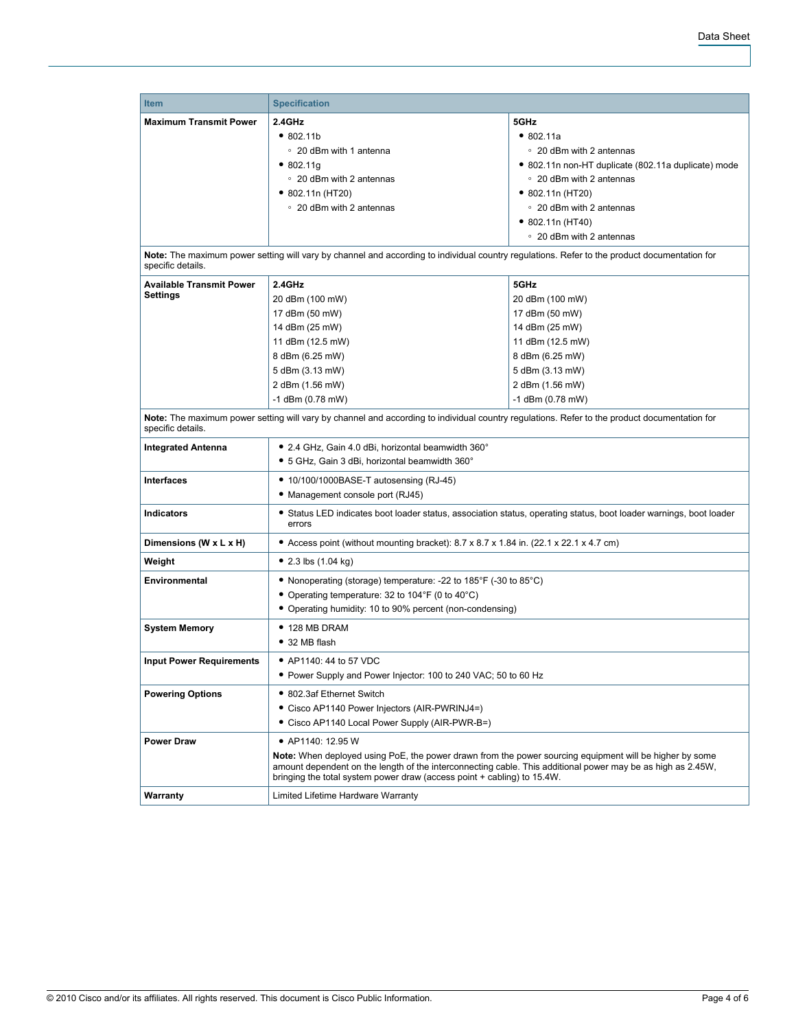| <b>Item</b>                                                                                                                                                       | <b>Specification</b>                                                                                                                                                                                                                                                                                     |                                                     |  |  |
|-------------------------------------------------------------------------------------------------------------------------------------------------------------------|----------------------------------------------------------------------------------------------------------------------------------------------------------------------------------------------------------------------------------------------------------------------------------------------------------|-----------------------------------------------------|--|--|
| <b>Maximum Transmit Power</b>                                                                                                                                     | 2.4GHz                                                                                                                                                                                                                                                                                                   | 5GHz                                                |  |  |
|                                                                                                                                                                   | •802.11b                                                                                                                                                                                                                                                                                                 | • 802.11a                                           |  |  |
|                                                                                                                                                                   | ○ 20 dBm with 1 antenna                                                                                                                                                                                                                                                                                  | ○ 20 dBm with 2 antennas                            |  |  |
|                                                                                                                                                                   | • 802.11g                                                                                                                                                                                                                                                                                                | • 802.11n non-HT duplicate (802.11a duplicate) mode |  |  |
|                                                                                                                                                                   | • 20 dBm with 2 antennas                                                                                                                                                                                                                                                                                 | • 20 dBm with 2 antennas                            |  |  |
|                                                                                                                                                                   | $\bullet$ 802.11n (HT20)                                                                                                                                                                                                                                                                                 | • 802.11n (HT20)                                    |  |  |
|                                                                                                                                                                   | ○ 20 dBm with 2 antennas                                                                                                                                                                                                                                                                                 | ○ 20 dBm with 2 antennas                            |  |  |
|                                                                                                                                                                   |                                                                                                                                                                                                                                                                                                          | $\bullet$ 802.11n (HT40)                            |  |  |
|                                                                                                                                                                   |                                                                                                                                                                                                                                                                                                          | ○ 20 dBm with 2 antennas                            |  |  |
| Note: The maximum power setting will vary by channel and according to individual country regulations. Refer to the product documentation for<br>specific details. |                                                                                                                                                                                                                                                                                                          |                                                     |  |  |
| <b>Available Transmit Power</b>                                                                                                                                   | 2.4GHz                                                                                                                                                                                                                                                                                                   | 5GHz                                                |  |  |
| Settings                                                                                                                                                          | 20 dBm (100 mW)                                                                                                                                                                                                                                                                                          | 20 dBm (100 mW)                                     |  |  |
|                                                                                                                                                                   | 17 dBm (50 mW)                                                                                                                                                                                                                                                                                           | 17 dBm (50 mW)                                      |  |  |
|                                                                                                                                                                   | 14 dBm (25 mW)                                                                                                                                                                                                                                                                                           | 14 dBm (25 mW)                                      |  |  |
|                                                                                                                                                                   | 11 dBm (12.5 mW)                                                                                                                                                                                                                                                                                         | 11 dBm (12.5 mW)                                    |  |  |
|                                                                                                                                                                   | 8 dBm (6.25 mW)                                                                                                                                                                                                                                                                                          | 8 dBm (6.25 mW)                                     |  |  |
|                                                                                                                                                                   | 5 dBm (3.13 mW)                                                                                                                                                                                                                                                                                          | 5 dBm (3.13 mW)                                     |  |  |
|                                                                                                                                                                   | 2 dBm (1.56 mW)                                                                                                                                                                                                                                                                                          | 2 dBm (1.56 mW)                                     |  |  |
|                                                                                                                                                                   | -1 dBm (0.78 mW)                                                                                                                                                                                                                                                                                         | $-1$ dBm (0.78 mW)                                  |  |  |
| Note: The maximum power setting will vary by channel and according to individual country regulations. Refer to the product documentation for<br>specific details. |                                                                                                                                                                                                                                                                                                          |                                                     |  |  |
| <b>Integrated Antenna</b>                                                                                                                                         | • 2.4 GHz, Gain 4.0 dBi, horizontal beamwidth 360°                                                                                                                                                                                                                                                       |                                                     |  |  |
|                                                                                                                                                                   | • 5 GHz, Gain 3 dBi, horizontal beamwidth 360°                                                                                                                                                                                                                                                           |                                                     |  |  |
| <b>Interfaces</b>                                                                                                                                                 | • 10/100/1000BASE-T autosensing (RJ-45)                                                                                                                                                                                                                                                                  |                                                     |  |  |
|                                                                                                                                                                   | • Management console port (RJ45)                                                                                                                                                                                                                                                                         |                                                     |  |  |
| <b>Indicators</b>                                                                                                                                                 | • Status LED indicates boot loader status, association status, operating status, boot loader warnings, boot loader<br>errors                                                                                                                                                                             |                                                     |  |  |
| Dimensions (W x L x H)                                                                                                                                            | • Access point (without mounting bracket): 8.7 x 8.7 x 1.84 in. (22.1 x 22.1 x 4.7 cm)                                                                                                                                                                                                                   |                                                     |  |  |
| Weight                                                                                                                                                            | • 2.3 lbs $(1.04 \text{ kg})$                                                                                                                                                                                                                                                                            |                                                     |  |  |
| Environmental                                                                                                                                                     | • Nonoperating (storage) temperature: -22 to 185°F (-30 to 85°C)                                                                                                                                                                                                                                         |                                                     |  |  |
|                                                                                                                                                                   | • Operating temperature: 32 to 104°F (0 to 40°C)                                                                                                                                                                                                                                                         |                                                     |  |  |
|                                                                                                                                                                   | • Operating humidity: 10 to 90% percent (non-condensing)                                                                                                                                                                                                                                                 |                                                     |  |  |
| <b>System Memory</b>                                                                                                                                              | $\bullet$ 128 MB DRAM                                                                                                                                                                                                                                                                                    |                                                     |  |  |
|                                                                                                                                                                   | • 32 MB flash                                                                                                                                                                                                                                                                                            |                                                     |  |  |
| <b>Input Power Requirements</b>                                                                                                                                   | • AP1140: 44 to 57 VDC                                                                                                                                                                                                                                                                                   |                                                     |  |  |
|                                                                                                                                                                   | • Power Supply and Power Injector: 100 to 240 VAC; 50 to 60 Hz                                                                                                                                                                                                                                           |                                                     |  |  |
| <b>Powering Options</b>                                                                                                                                           | • 802.3af Ethernet Switch                                                                                                                                                                                                                                                                                |                                                     |  |  |
|                                                                                                                                                                   |                                                                                                                                                                                                                                                                                                          |                                                     |  |  |
|                                                                                                                                                                   | • Cisco AP1140 Power Injectors (AIR-PWRINJ4=)<br>• Cisco AP1140 Local Power Supply (AIR-PWR-B=)                                                                                                                                                                                                          |                                                     |  |  |
|                                                                                                                                                                   |                                                                                                                                                                                                                                                                                                          |                                                     |  |  |
| <b>Power Draw</b>                                                                                                                                                 | • AP1140: 12.95 W                                                                                                                                                                                                                                                                                        |                                                     |  |  |
|                                                                                                                                                                   | <b>Note:</b> When deployed using PoE, the power drawn from the power sourcing equipment will be higher by some<br>amount dependent on the length of the interconnecting cable. This additional power may be as high as 2.45W,<br>bringing the total system power draw (access point + cabling) to 15.4W. |                                                     |  |  |
| Warranty                                                                                                                                                          | Limited Lifetime Hardware Warranty                                                                                                                                                                                                                                                                       |                                                     |  |  |
|                                                                                                                                                                   |                                                                                                                                                                                                                                                                                                          |                                                     |  |  |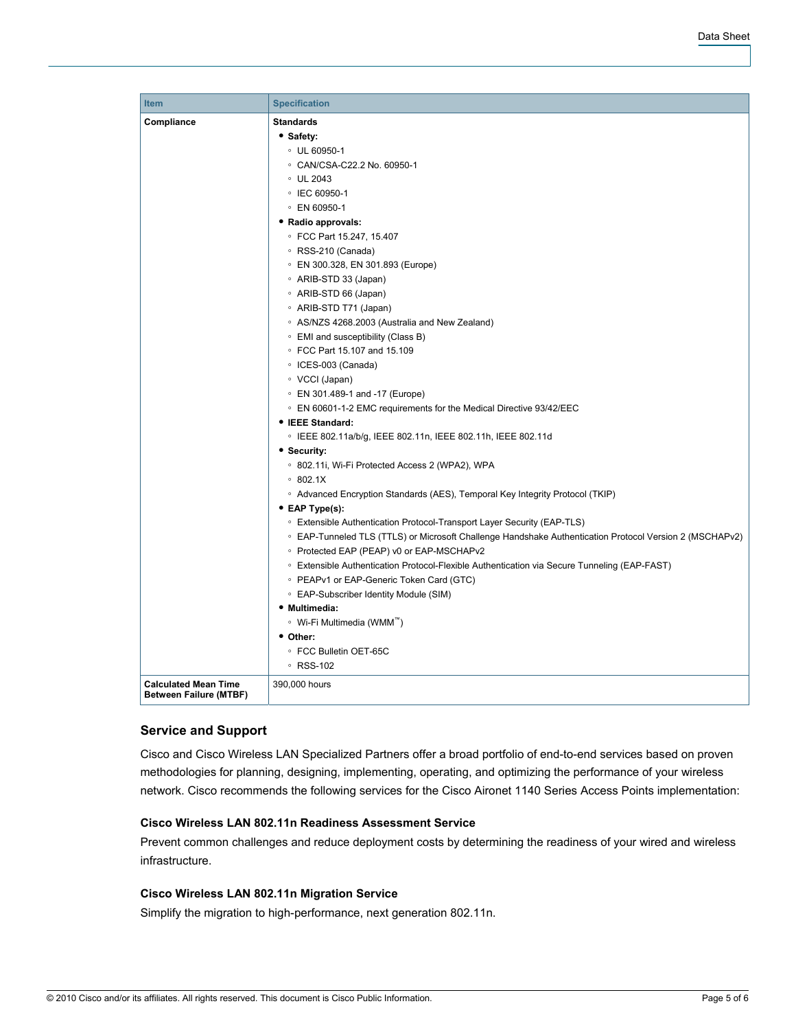| <b>Item</b>                                                  | <b>Specification</b>                                                                                    |  |  |  |  |
|--------------------------------------------------------------|---------------------------------------------------------------------------------------------------------|--|--|--|--|
| Compliance                                                   | <b>Standards</b>                                                                                        |  |  |  |  |
|                                                              | • Safety:                                                                                               |  |  |  |  |
|                                                              | $\degree$ UL 60950-1                                                                                    |  |  |  |  |
|                                                              | © CAN/CSA-C22.2 No. 60950-1                                                                             |  |  |  |  |
|                                                              | $\circ$ UL 2043                                                                                         |  |  |  |  |
|                                                              | ○ IEC 60950-1                                                                                           |  |  |  |  |
|                                                              | © EN 60950-1                                                                                            |  |  |  |  |
|                                                              | • Radio approvals:                                                                                      |  |  |  |  |
|                                                              | ○ FCC Part 15.247, 15.407                                                                               |  |  |  |  |
|                                                              | ∘ RSS-210 (Canada)                                                                                      |  |  |  |  |
|                                                              | © EN 300.328, EN 301.893 (Europe)                                                                       |  |  |  |  |
|                                                              | ∘ ARIB-STD 33 (Japan)                                                                                   |  |  |  |  |
|                                                              | ○ ARIB-STD 66 (Japan)                                                                                   |  |  |  |  |
|                                                              | ○ ARIB-STD T71 (Japan)                                                                                  |  |  |  |  |
|                                                              | ○ AS/NZS 4268.2003 (Australia and New Zealand)                                                          |  |  |  |  |
|                                                              | ○ EMI and susceptibility (Class B)                                                                      |  |  |  |  |
|                                                              | © FCC Part 15.107 and 15.109                                                                            |  |  |  |  |
|                                                              | ○ ICES-003 (Canada)                                                                                     |  |  |  |  |
|                                                              | ∘ VCCI (Japan)                                                                                          |  |  |  |  |
|                                                              | © EN 301.489-1 and -17 (Europe)                                                                         |  |  |  |  |
|                                                              | © EN 60601-1-2 EMC requirements for the Medical Directive 93/42/EEC                                     |  |  |  |  |
|                                                              | • IEEE Standard:                                                                                        |  |  |  |  |
|                                                              | ○ IEEE 802.11a/b/g, IEEE 802.11n, IEEE 802.11h, IEEE 802.11d                                            |  |  |  |  |
|                                                              | • Security:                                                                                             |  |  |  |  |
|                                                              | ○ 802.11i, Wi-Fi Protected Access 2 (WPA2), WPA                                                         |  |  |  |  |
|                                                              | $\degree$ 802.1X                                                                                        |  |  |  |  |
|                                                              | ○ Advanced Encryption Standards (AES), Temporal Key Integrity Protocol (TKIP)                           |  |  |  |  |
|                                                              | • EAP Type(s):                                                                                          |  |  |  |  |
|                                                              | ○ Extensible Authentication Protocol-Transport Layer Security (EAP-TLS)                                 |  |  |  |  |
|                                                              | © EAP-Tunneled TLS (TTLS) or Microsoft Challenge Handshake Authentication Protocol Version 2 (MSCHAPv2) |  |  |  |  |
|                                                              | ○ Protected EAP (PEAP) v0 or EAP-MSCHAPv2                                                               |  |  |  |  |
|                                                              | ○ Extensible Authentication Protocol-Flexible Authentication via Secure Tunneling (EAP-FAST)            |  |  |  |  |
|                                                              | • PEAPv1 or EAP-Generic Token Card (GTC)                                                                |  |  |  |  |
|                                                              | ○ EAP-Subscriber Identity Module (SIM)                                                                  |  |  |  |  |
|                                                              | • Multimedia:                                                                                           |  |  |  |  |
|                                                              | ∘ Wi-Fi Multimedia (WMM <sup>™</sup> )                                                                  |  |  |  |  |
|                                                              | • Other:                                                                                                |  |  |  |  |
|                                                              | ○ FCC Bulletin OET-65C                                                                                  |  |  |  |  |
|                                                              | ∘ RSS-102                                                                                               |  |  |  |  |
| <b>Calculated Mean Time</b><br><b>Between Failure (MTBF)</b> | 390,000 hours                                                                                           |  |  |  |  |

### **Service and Support**

Cisco and Cisco Wireless LAN Specialized Partners offer a broad portfolio of end-to-end services based on proven methodologies for planning, designing, implementing, operating, and optimizing the performance of your wireless network. Cisco recommends the following services for the Cisco Aironet 1140 Series Access Points implementation:

## **Cisco Wireless LAN 802.11n Readiness Assessment Service**

Prevent common challenges and reduce deployment costs by determining the readiness of your wired and wireless infrastructure.

### **Cisco Wireless LAN 802.11n Migration Service**

Simplify the migration to high-performance, next generation 802.11n.